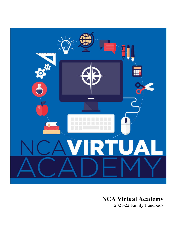

## **NCA Virtual Academy**

2021-22 Family Handbook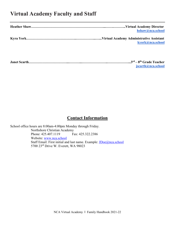## **Virtual Academy Faculty and Staff**

| hshaw@nca.school |
|------------------|
|                  |
| kyork@nca.school |
|                  |

| iscarth@nca.school |
|--------------------|

## **Contact Information**

School office hours are 8:00am-4:00pm Monday through Friday. Northshore Christian Academy<br>Phone: 425.407.1119 Fax: 425.322.2386 Phone: 425.407.1119 Website: [www.nca.school](https://www.nca.school/) Staff Email: First initial and last name. Example: **JDoe@nca.school** 5700 23rd Drive W. Everett, WA 98023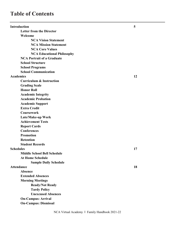## **Table of Contents**

| <b>Introduction</b>                 | 5  |
|-------------------------------------|----|
| <b>Letter from the Director</b>     |    |
| Welcome                             |    |
| <b>NCA Vision Statement</b>         |    |
| <b>NCA Mission Statement</b>        |    |
| <b>NCA Core Values</b>              |    |
| <b>NCA Educational Philosophy</b>   |    |
| <b>NCA Portrait of a Graduate</b>   |    |
| <b>School Structure</b>             |    |
| <b>School Programs</b>              |    |
| <b>School Communication</b>         |    |
| <b>Academics</b>                    | 12 |
| <b>Curriculum &amp; Instruction</b> |    |
| <b>Grading Scale</b>                |    |
| <b>Honor Roll</b>                   |    |
| <b>Academic Integrity</b>           |    |
| <b>Academic Probation</b>           |    |
| <b>Academic Support</b>             |    |
| <b>Extra Credit</b>                 |    |
| Coursework                          |    |
| Late/Make-up Work                   |    |
| <b>Achievement Tests</b>            |    |
| <b>Report Cards</b>                 |    |
| <b>Conferences</b>                  |    |
| <b>Promotion</b>                    |    |
| <b>Retention</b>                    |    |
| <b>Student Records</b>              |    |
| <b>Schedules</b>                    | 17 |
| <b>Middle School Bell Schedule</b>  |    |
| <b>At Home Schedule</b>             |    |
| <b>Sample Daily Schedule</b>        |    |
| <b>Attendance</b>                   | 18 |
| Absence                             |    |
| <b>Extended Absences</b>            |    |
| <b>Morning Meetings</b>             |    |
| <b>Ready/Not Ready</b>              |    |
| <b>Tardy Policy</b>                 |    |
| <b>Unexcused Absences</b>           |    |
| <b>On-Campus: Arrival</b>           |    |
| <b>On-Campus: Dismissal</b>         |    |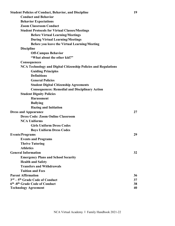| <b>Student Policies of Conduct, Behavior, and Discipline</b>           | 19 |
|------------------------------------------------------------------------|----|
| <b>Conduct and Behavior</b>                                            |    |
| <b>Behavior Expectations</b>                                           |    |
| <b>Zoom Classroom Conduct</b>                                          |    |
| <b>Student Protocols for Virtual Classes/Meetings</b>                  |    |
| <b>Before Virtual Learning/Meetings</b>                                |    |
| <b>During Virtual Learning/Meetings</b>                                |    |
| Before you leave the Virtual Learning/Meeting                          |    |
| <b>Discipline</b>                                                      |    |
| <b>Off-Campus Behavior</b>                                             |    |
| "What about the other kid?"                                            |    |
| <b>Consequences</b>                                                    |    |
| <b>NCA Technology and Digital Citizenship Policies and Regulations</b> |    |
| <b>Guiding Principles</b>                                              |    |
| <b>Definitions</b>                                                     |    |
| <b>General Policies</b>                                                |    |
| <b>Student Digital Citizenship Agreements</b>                          |    |
| <b>Consequences: Remedial and Disciplinary Action</b>                  |    |
| <b>Student Dignity Policies</b>                                        |    |
| <b>Harassment</b>                                                      |    |
| <b>Bullying</b>                                                        |    |
| <b>Hazing and Initiation</b>                                           |    |
| <b>Dress and Appearance</b>                                            | 27 |
| <b>Dress Code: Zoom Online Classroom</b>                               |    |
| <b>NCA Uniforms</b>                                                    |    |
| <b>Girls Uniform Dress Codes</b>                                       |    |
| <b>Boys Uniform Dress Codes</b>                                        |    |
| <b>Events/Programs</b>                                                 | 29 |
| <b>Events and Programs</b>                                             |    |
| <b>Thrive Tutoring</b>                                                 |    |
| <b>Athletics</b>                                                       |    |
| <b>General Information</b>                                             | 32 |
| <b>Emergency Plans and School Security</b>                             |    |
| <b>Health and Safety</b>                                               |    |
| <b>Transfers and Withdrawals</b>                                       |    |
| <b>Tuition and Fees</b>                                                |    |
| <b>Parent Affirmation</b>                                              | 36 |
| 3rd – 5 <sup>th</sup> Grade Code of Conduct                            | 37 |
| 6th -8th Grade Code of Conduct                                         | 38 |
| <b>Technology Agreement</b>                                            | 40 |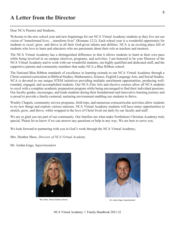## **A Letter from the Director**

#### Dear NCA Parents and Students,

Welcome to the new school year and new beginnings for our NCA Virtual Academy students as they live out our vision of "transformed lives….transform lives" (Romans 12:2). Each school year is a wonderful opportunity for students to excel, grow, and thrive in all their God-given talents and abilities. NCA is an exciting place full of students who love to learn and educators who are passionate about their role as teachers and mentors.

The NCA Virtual Academy has a distinguished difference in that it allows students to learn at their own pace while being involved in on campus electives, programs, and activities. I am honored to be your Director of the NCA Virtual Academy and to work with our wonderful students, our highly qualified and dedicated staff, and the supportive parents and community members that make NCA a Blue Ribbon school.

The National Blue Ribbon standards of excellence in learning extends to our NCA Virtual Academy through a Christ-centered curriculum in Biblical Studies, Mathematics, Science, English Language Arts, and Social Studies. NCA is devoted to our unique STEM initiatives providing multiple enrichment opportunities, producing wellrounded, engaged, and accomplished students. Our NCA Fine Arts and elective courses allow all NCA students to excel with a complete academic preparation program while being encouraged to find their individual passions. Our faculty guides, encourages, and leads students during their foundational and innovative learning journey and is proud to provide a family-centered, nurturing environment enabling our students to thrive.

Weekly Chapels, community service programs, field trips, and numerous extracurricular activities allow students to try new things and explore various interests. NCA Virtual Academy students will have many opportunities to stretch, grow, and thrive, while wrapped in the love of Christ lived out daily by our faculty and staff.

We are so glad you are part of our community. Our families are what make Northshore Christian Academy truly special. Please let us know if we can answer any questions or help in any way. We are here to serve you.

We look forward to partnering with you in God's work through the NCA Virtual Academy,

Mrs. Heather Shaw, *Director of NCA Virtual Academy*

Mr. Jordan Gage, *Superintendent*



Mrs. Shaw, Virtual Academy Director **Music According to According the Control of Mr. Jordan Gage**, Superintendent

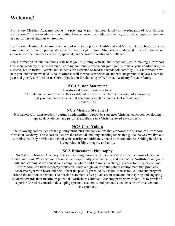Northshore Christian Academy counts it a privilege to join with your family in the education of your children. Northshore Christian Academy is committed to excellence in providing academic, spiritual, and personal learning in a nurturing yet rigorous environment.

Northshore Christian Academy is one school with two options: Traditional and Virtual. Both schools offer the same excellence in preparing students for their bright future. Students are educated in a Christ-centered environment that provides academic, spiritual, and personal educational excellence.

The information in this handbook will help you in joining with us and other families in making Northshore Christian Academy a Bible centered, learning community where our joint goal is to have your children not just succeed, but to thrive! Parents and students are expected to read the handbook carefully. This information will help you understand what NCA has to offer as well as what is expected of students and parents to have a successful year and glorify our Lord Jesus Christ. Thank you for choosing NCA Virtual Academy for your family!

#### **NCA Vision Statement**

Transformed lives…transform lives! "And do not be conformed to this world, but be transformed by the renewing of your mind, that you may prove what is that good and acceptable and perfect will of God." Romans 12:2

#### **NCA Mission Statement**

Northshore Christian Academy partners with families to provide a superior Christian education developing spiritual, academic, and personal excellence in a Christ-centered environment.

#### **NCA Core Values**

The following core values are the guiding principles and convictions that empower the mission of Northshore Christian Academy. These core values are the essential and long-standing tenets that guide the way we live out our mission. They provide the school with security and ultimately shape its moral culture: Abiding in Christ, loving relationships, integrity and unity.

#### **NCA Educational Philosophy**

Northshore Christian Academy filters all learning through a Biblical worldview that recognizes Christ as Creator and Lord. We endeavor to train students spiritually, academically, and personally. Northshore integrates faith and learning as we educate and equip the whole child to impact a changing world for the glory of God. Northshore Christian Academy's mission places a high value on the school environment that produces 'academic rigor with heart and help'. Over the past 25 years, NCA has built the school culture and program around the mission statement. The mission statement's five pillars are instrumental in inspiring and engaging students towards their maximum potential. Northshore Christian Academy partners with families to provide a superior Christian education developing spiritual, academic, and personal excellence in a Christ-centered environment.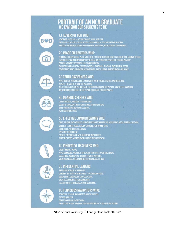# **PORTRAIT OF AN NCA GRADUATE**<br>WE ENVISION OUR STUDENTS TO BE:

#### 1.) LOVERS OF GOD WHO:

GVD

FOR THE SERVE ALL AS SEEN IN THOUGHT, WORD, AND DEED.<br>Are disciples of Jesus; called by God, transformed by God, on a mission with God.<br>Practice the spiritual disciplines of prayer, meditation, bible reading, and worship.

## **2.) IMAGE CULTIVATORS WHO:**

RECOGNIZE THEIR PERSONAL VALUE AND IDENTITY AS ROOTED IN JESUS CHRIST (A CHILD OF GOD, AN IMAGE OF GOD). UNDERSTAND THAT GOD HAS CREATED US TO SHARE HIS ATTRIBUTES, DEVELOPED THROUGH PRACTICE. POSSESS A MINDSET OF GROWTH AND TRANSFORMATION. EXHIBIT A HEALTHY LIFESTYLE AS SEEN IN SOCIAL, EMOTIONAL, PHYSICAL, AND SPIRITUAL AREAS. DEMONSTRATE GODLY CHARACTER OF COMPASSION, TRUTH, JUSTICE, RIGHTEOUSNESS, AND GRACE.

## **3.) TRUTH DISCERNERS WHO:**

APPLY BIBLICAL PRINCIPLES IN THE ANALYSIS OF MATH, SCIENCE, HISTORY, AND LITERATURE. **ANALYZE THE MERITS OF CONFLICTING CLAIMS.** ARE SKILLED IN EVALUATING THE QUALITY OF INFORMATION AND THE POINT OF VIEW IN TEXT AND MEDIA. ARE PRACTICED IN SEEKING THE HOLY SPIRIT'S GUIDANCE THROUGH PRAYER.

## **4.) MEANING SEEKERS WHO:**

LISTEN, OBSERVE, AND READ TO UNDERSTAND. USE BIBLE KNOWLEDGE AND TRUTH TO MAKE INTERPRETATIONS. **MAKE CONNECTIONS BEYOND THE OBVIOUS. ASK PROBING QUESTIONS.** 

## 5.) EFFECTIVE COMMUNICATORS WHO:

CRAFT, DELIVER, AND INTERPRET RELEVANT MESSAGES THROUGH THE APPROPRIATE MEDIA (WRITING, SPEAKING, VISUAL ART, DIGITAL MEDIA, FOREIGN LANGUAGE, PERFORMING ARTS). SUCCESSFULLY INTERPRET FEEDBACK. SPEAK THE TRUTH IN LOVE. PRESENT THEIR MESSAGE WITH CONFIDENCE AND HUMILITY. SHARE THE GOSPEL WITH BOLDNESS, CLARITY, AND GENTLENESS.

## **6.) INNOVATIVE DESIGNERS WHO:**

**CREATE ORIGINAL WORKS.** APPLY KNOWLEDGE AND SKILLS TO DEVELOP SOLUTIONS TO NEW CHALLENGES. USE CRITICAL AND CREATIVE THINKING TO SOLVE PROBLEMS. VALUE KNOWLEDGE APPLICATION BEYOND KNOWLEDGE IN ITSELF.

## **7.) INFLUENTIAL LEADERS:**

ARE GUIDED BY BIBLICAL PRINCIPLES.<br>Consider the needs of other first, to accomplish goals. DEMONSTRATE COMPASSION AND ACCEPTANCE.<br>Value relationship and collaboration. TAKE INITIATIVE TO INFLUENCE A POSITIVE CHANGE.

## **8.) TENACIOUS NAVIGATORS WHO:**

PERSEVERE THROUGH OBSTACLES TO ACHIEVE SUCCESS.<br>Are goal oriented.<br>Dare to accomplish hard things. ARE WILLING TO TAKE RISKS AND THEN RESPOND WISELY TO SUCCESS AND FAILURE.

NCA Virtual Academy I Family Handbook 2021-22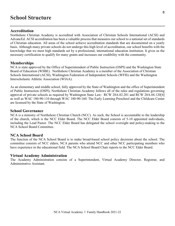## **School Structure**

#### **Accreditation**

Northshore Christian Academy is accredited with Association of Christian Schools International (ACSI) and AdvancEd. ACSI accreditation has been a valuable process that measures our school to a national set of standards of Christian education. All areas of the school achieve accreditation standards that are documented on a yearly basis. Although many private schools do not undergo this high level of accreditation, our school benefits with the knowledge that we meet high standards set by a professional, international education institution. It gives us the necessary certification to qualify for many grants and increases our credibility with the community.

#### **Memberships**

NCA is state approved by the Office of Superintendent of Public Instruction (OSPI) and the Washington State Board of Education (WSBE). Northshore Christian Academy is a member of the Association of Christian Schools International (ACSI), Washington Federation of Independent Schools (WFIS) and the Washington Interscholastic Athletic Association (WIAA).

As an elementary and middle school, fully approved by the State of Washington and the office of Superintendent of Public Instruction (OSPI), Northshore Christian Academy follows all of the rules and regulations governing approval of private schools as required by Washington State Law: RCW 28A.02.201 and RCW 28A.04.120[4] as well as WAC 180-90-110 through WAC 180-90-160. The Early Learning Preschool and the Childcare Center are licensed by the State of Washington.

#### **School Governance**

NCA is a ministry of Northshore Christian Church (NCC). As such, the School is accountable to the leadership of the church, which is the NCC Elder Board. The NCC Elder Board consists of 5-10 appointed individuals, including the Lead Pastor. The NCC Elder Board has delegated the school oversight and policy-making to the NCA School Board Committee.

#### **NCA School Board**

The function of the NCA School Board is to make broad-based school policy decisions about the school. The committee consists of NCC elders, NCA parents who attend NCC and other NCC participating members who have experience in the educational field. The NCA School Board Chair reports to the NCC Elder Board.

#### **Virtual Academy Administration**

The Academy Administration consists of a Superintendent, Virtual Academy Director, Registrar, and Administrative Assistant.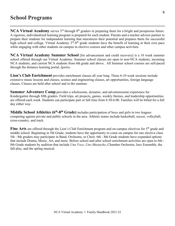## **School Programs**

**NCA Virtual Academy** serves 3<sup>rd</sup> through 8<sup>th</sup> graders in preparing them for a bright and prosperous future. A rigorous, individualized learning program is prepared for each student. Parents and a teacher advisor partner to prepare their students for independent learning that maximizes their potential and prepares them for successful high school and college. Virtual Academy  $3^{rd}$ -8<sup>th</sup> grade students have the benefit of learning at their own pace while engaging with other students on campus in elective courses and other campus activities.

**NCA Virtual Academy Summer School** [for advancement and credit recovery] is a 10 week summer school offered through our Virtual Academy. Summer school classes are open to non-NCA students, incoming NCA students, and current NCA students from 6th grade and above. All Summer school courses are self-paced through the distance learning portal, *Ignitia*.

Lion's Club Enrichment provides enrichment classes all year long. These 6-10 week sessions include extensive music lessons and classes, science and engineering classes, art opportunities, foreign language classes. Classes are held after school and in the summer.

**Summer Adventure Camp** provides a wholesome, dynamic, and adventuresome experience for Kindergarten through fifth graders. Field trips, art projects, games, weekly themes, and leadership opportunities are offered each week. Students can participate part or full time from 6:30-6:00. Families will be billed for a full day either way.

**Middle School Athletics (6<sup>th</sup>-8<sup>th</sup> Grade)** includes participation of boys and girls in two leagues competing against private and public schools in the area. Athletic teams include basketball, soccer, volleyball, cross-country, and track.

Fine Arts are offered through the Lion's Club Enrichment program and on-campus electives for 5<sup>th</sup> grade and middle school. Beginning in 5th Grade, students have the opportunity to come on campus for one elective class. 5th - 8th graders may participate in Band, Orchestra, or Choir. 6th - 8th Grade students have expanded options that include Drama, Music, Art, and more. Before school and after school enrichment activities are open to 6th - 8th Grade students by audition that include *Una Voce*, *Uno Mustacho*, Chamber Orchestra, Jazz Ensemble, the fall play, and the spring musical.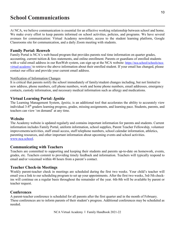## **School Communications**

At NCA, we believe communication is essential for an effective working relationship between school and home. We make every effort to keep parents informed on school activities, policies, and programs. We have several avenues for communication: Virtual Academy newsletter, access to the student learning platform, Google Classrooms site for communication, and a daily Zoom meeting with students.

#### **Family Portal: Renweb**

Family Portal is NCA's web-based program that provides parents real time information on quarter grades, accounting, current tuition & fees statements, and online enrollment. Parents or guardians of enrolled students with a valid email address in our RenWeb system, can sign up at the NCA website: https://nca.school/schools/ncavirtual-academy/ to retrieve the above information about their enrolled student. If your email has changed, please contact our office and provide your current email address.

#### Notification of Information Changes

It is critical that parents notify the school immediately of family/student changes including, but not limited to new address, phone numbers, cell phone numbers, work and home phone numbers, email addresses, emergency contacts, custody information, and necessary medical information such as allergy and medications.

#### **Virtual Learning Portal:** *Ignitia*

The Learning Management System, *Ignitia*, is an additional tool that accelerates the ability to accurately view individual 3-8th graders learning progress, grades, missing assignments, and learning pace. Students, parents, and teachers can view 'on demand' at any time.

#### **Website**

The Academy website is updated regularly and contains important information for parents and students. Current information includes Family Portal, uniform information, school supplies, Parent Teacher Fellowship, volunteer improvements/activities, staff email access, staff telephone numbers, school calendar information, athletics, parenting resources, and other important information about upcoming events and school activities. [www.nca.school.](https://www.nca.school/)

#### **Communicating with Teachers**

Teachers are committed to supporting and keeping their students and parents up-to-date on homework, events, grades, etc. Teachers commit to providing timely feedback and information. Teachers will typically respond to email and/or voicemail within 48 hours from a parent's contact.

#### **Teacher Check-in Meetings**

Weekly parent-teacher check in meetings are scheduled during the first two weeks. Your child's teacher will email you a link to our scheduling program to set up your appointments. After the first two weeks, 3rd-5th checkins will continue on a regular basis throughout the remainder of the year. 6th-8th will be available by parent or teacher request.

#### **Conferences**

A parent-teacher conference is scheduled for all parents after the first quarter and in the month of February. These conferences are to inform parents of their student's progress. Additional conferences may be scheduled as needed.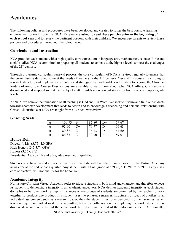## **Academics**

The following policies and procedures have been developed and created to foster the best possible learning environment for each student at NCA. **Parents are asked to read these policies prior to the beginning of each school year** and to review the pertinent portions with their children. We encourage parents to review these policies and procedures throughout the school year.

## **Curriculum and Instruction**

NCA provides each student with a high-quality core curriculum in language arts, mathematics, science, Bible and social studies. NCA is committed to preparing all students to achieve at the highest levels to meet the challenges of the 21<sup>st</sup> century.

Through a dynamic curriculum renewal process, the core curriculum of NCA is revised regularly to ensure that the curriculum is designed to meet the needs of learners in the 21<sup>st</sup> century. Our staff is constantly striving to research, develop, and implement curriculum and strategies that will enable each student to become the Christian leaders of tomorrow. Course Descriptions are available to learn more about what NCA offers. Curriculum is documented and mapped so that each subject matter builds upon content standards from lower and upper grade levels.

At NCA, we believe the foundation of all teaching is God and His Word. We seek to nurture and train our students towards character development that leads to action and to encourage a deepening and personal relationship with Christ. All curricula at NCA are taught from a Biblical worldview.

## **Grading Scale**

|      | $100-93$ B- |      | 82-80 | $D+$  | 69-67  |
|------|-------------|------|-------|-------|--------|
| A-   | 92-90       | $C+$ | 79-77 | D     | 66-63  |
| $B+$ | 89-87       |      | 76-73 | $D -$ | 62-60  |
|      | 86-83       |      | 72-70 | Е     | $59-0$ |

## **Honor Roll**

Director's List (3.75- 4.0 GPA) High Honors (3.5-3.74 GPA) Honors (3.25 GPA) Presidential Award- 5th and 8th grade presented if qualified

Students who have earned a place on the respective lists will have their names posted in the Virtual Academy newsletter at the end of each quarter. Any student with a final grade of a "D-", "D", "D+", or "F" in any class, core or elective, will not qualify for the honor roll.

## **Academic Integrity**

Northshore Christian Virtual Academy seeks to educate students in both mind and character and therefore expects its students to demonstrate integrity in all academic endeavors. NCA defines academic integrity as each student doing his or her own work, except in instances where groups of students are permitted by the teacher to work together to produce one product. If a student uses the phrases, sentences, structures, or ideas of another in an individual assignment, such as a research paper, then the student must give due credit to their sources. When teachers require individual work to be submitted, but allow collaboration in completing that work, students may discuss ideas and concepts, but the actual work turned in must be that of the individual student. Additionally,

NCA Virtual Academy I Family Handbook 2021-22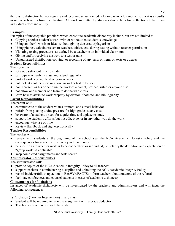there is no distinction between giving and receiving unauthorized help; one who helps another to cheat is as guilty as one who benefits from the cheating. All work submitted by students should be a true reflection of their own individual effort and ability.

## **Examples**

Examples of unacceptable practices which constitute academic dishonesty include, but are not limited to:

- Copying another student's work with or without that student's knowledge
- Using another's words or ideas without giving due credit (plagiarism)
- Using phones, calculators, smart watches, tablets, etc. during testing without teacher permission
- Violating testing procedures as defined by a teacher in an individual classroom
- Giving and/or receiving answers to a test or quiz
- Unauthorized distribution, copying, or recording of any parts or items on tests or quizzes

## **Student Responsibilities**

The student will:

- set aside sufficient time to study
- participate actively in class and attend regularly
- protect work do not lend or borrow work
- not look at another's test or allow his or her test to be seen
- nor represent as his or her own the work of a parent, brother, sister, or anyone else
- not allow one member or a team to do the whole task
- learn how to attribute work properly by citation, footnote, and bibliography

## **Parent Responsibilities**

The parent will:

- communicate to the student values or moral and ethical behavior
- refrain from placing undue pressure for high grades at any cost
- be aware of a student's need for a quiet time and a place to study
- support the student's efforts, but not edit, type, or in any other way do the work
- encourage wise use of time
- Review Handbook and sign electronically

## **Teacher Responsibilities**

The teacher will:

- review with students at the beginning of the school year the NCA Academic Honesty Policy and the consequences for academic dishonesty in their classes.
- be specific as to whether work is to be cooperative or individual, i.e., clarify the definition and expectation or "group work" if applicable.
- keep completed assignments and tests secure

## **Administrator Responsibilities**

The administrator will:

- provide copies of the NCA Academic Integrity Policy to all teachers
- support teachers in administering discipline and upholding the NCA Academic Integrity Policy
- record incident/follow-up action in RenWeb/FACTS; inform teachers about outcome of the referral
- facilitate conferences and counsel students in cases of academic dishonesty

## **Consequences for Violations**

Instances of academic dishonesty will be investigated by the teachers and administrators and will incur the following consequences:

1st Violation (Teacher Intervention) in any class:

- Student will be required to redo the assignment with a grade deduction
- Teacher will conference with the student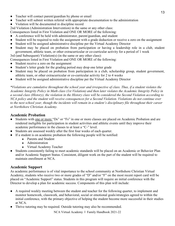- Teacher will contact parent/guardian by phone or email
- Teacher will submit written referral with appropriate documentation to the administration
- Violation will be documented in discipline record

2nd Violation (Administration Intervention) in the same or any other class:

- Consequences listed in First Violation and ONE OR MORE of the following:
- A conference will be held with administrator, parent/guardian, and student
- Student will be required to redo the assignment with a grade deduction or receive a zero on the assignment
- Student will be assigned administrative discipline per the Virtual Academy Director
- Student may be placed on probation from participation or having a leadership role in a club, student government, athletic team, or other extracurricular or co-curricular activity for a period of 1 week
- 3rd (and Subsequent) Violation(s) (in the same or any other class):

Consequences listed in First Violation and ONE OR MORE of the following:

- Student receive a zero on the assignment
- Student's letter grade for the grading period may drop one letter grade
- Student may be placed on probation from participation in a club, scholarship group, student government, athletic team, or other extracurricular or co-curricular activity for 2 to 4 weeks
- Student will be assigned administrative discipline per the Virtual Academy Director

*\*Violations are cumulative throughout the school year and irrespective of class. Thus, if a student violates the Academic Integrity Policy in Math class (1st Violation) and then later violates the Academic Integrity Policy in a second class (History), the violation in the History class will be considered the Second Violation according to NCA policy and the student will receive consequences for a Second Violation. Violations do not continue over to the next school year, though the incidents will remain in a student's disciplinary file throughout their career at Northshore Christian Academy.*

## **Academic Probation**

- Students with one or more "Ds" or "Fs" in one or more classes are placed on Academic Probation and are rendered ineligible for participation in student activities and athletic events until they improve their academic performance in the classes to at least a "C-" level.
- Students are assessed weekly after the first four weeks of each quarter.
- If a student is on academic probation the following people will be notified:
	- Parents and Student
	- Administration
	- Virtual Academy Teacher
- Students consistently failing to meet academic standards will be placed on an Academic or Behavior Plan and/or Academic Support Status. Consistent, diligent work on the part of the student will be required to maintain enrollment at NCA.

## **Academic Support**

As academic performance is of vital importance to the school community at Northshore Christian Virtual Academy, students who receive two or more grades of "D" and/or "F" on the most recent report card will be placed on "Academic Support" status. Students in this program will require an initial conference with the Director to develop a plan for academic success. Components of this plan will include:

- A required weekly meeting between the student and teacher for the following quarter, to implement and monitor homework, classwork, and behavioral, social or emotional goals/strategies agreed to within the initial conference, with the primary objective of helping the student become more successful in their studies at NCA.
- Thrive tutoring may be required. Outside tutoring may also be recommended.

NCA Virtual Academy I Family Handbook 2021-22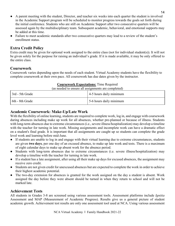- A parent meeting with the student, Director, and teacher six weeks into each quarter the student is involved in the Academic Support program will be scheduled to monitor progress towards the goals set forth during the initial conference. Students who are still on Academic Support after two consecutive quarters will be assessed again by the multidisciplinary team. Subsequent academic, behavioral, and emotional supports may be added at this time.
- Failure to meet academic standards after two consecutive quarters may lead to a review of the student's enrollment status.

## **Extra Credit Policy**

Extra credit may be given for optional work assigned to the entire class (not for individual student(s)). It will not be given solely for the purpose for raising an individual's grade. If it is made available, it may be only offered to the entire class.

## **Coursework**

Coursework varies depending upon the needs of each student. Virtual Academy students have the flexibility to complete coursework at their own pace. All coursework has due dates given by the instructor.

| Coursework Expectations: Time Required<br>(as needed to ensure all assignments are completed) |                         |  |  |
|-----------------------------------------------------------------------------------------------|-------------------------|--|--|
| 3rd - 5th Grade                                                                               | 4-5 hours daily minimum |  |  |
| 6th - 8th Grade                                                                               | 5-6 hours daily minimum |  |  |

#### **Coursework Expectations:** Time Required

**Academic Coursework: Make-Up/Late Work**

With the flexibility of online learning, students are required to complete work, log in, and engage with coursework during absences including make up work for all absences, whether pre-planned or because of illness. Students with long-term absences due to extreme circumstances (i.e., severe illness/hospitalization) may develop a timeline with the teacher for turning in late work. Missing assignments and incomplete work can have a dramatic effect on a student's final grade. It is important that all assignments are caught up so students can complete the grade level work and learning before mid-June.

- If students are unable to log in and engage with their virtual learning due to extreme circumstances, students are given **two days**, per one day of an excused absence, to make up late work and tests. There is a maximum of eight calendar days to make up absent work for the absence period.
- Students with long-term absences due to extreme circumstances (i.e. severe illness/hospitalization) may develop a timeline with the teacher for turning in late work.
- If a student has a late assignment, after using all their make up days for excused absences, the assignment may receive zero credit.
- Students are not given credit for unexcused absences but are expected to complete the work in order to achieve their highest academic potential.
- The two-day extension for absences is granted for the work assigned on the day a student is absent. Work assigned the day before they were absent should be turned in when they return to school and will not be marked late.

## **Achievement Tests**

All students in Grades 3-8 are screened using various assessment tools. Assessment platforms include *Ignitia* Assessment and MAP (Measurement of Academic Progress). Results give us a general picture of student academic growth. Achievement test results are only one assessment tool used at NCA. Using various assessment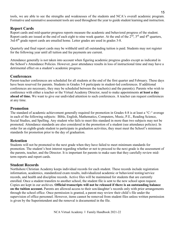tools, we are able to see the strengths and weaknesses of the students and NCA's overall academic program. Formative and summative assessment tools are used throughout the year to guide student learning and instruction.

### **Report Cards**

Report cards and mid-quarter progress reports measure the academic and behavioral progress of the student. Report cards are issued at the end of each eight to nine week quarter. At the end of the  $2<sup>nd</sup>$ ,  $3<sup>rd</sup>$  and  $4<sup>th</sup>$  quarters, 3rd-8<sup>th</sup> grade report cards are emailed home. Letter grades are used in grades 3-8.

Quarterly and final report cards may be withheld until all outstanding tuition is paid. Students may not register for the following year until all tuition and fee payments are current.

Attendance generally is not taken into account when figuring academic progress grades except as indicated in the School's Attendance Policies. However, poor attendance results in loss of instructional time and may have a detrimental effect on a student's academic progress.

#### **Conferences**

Parent-teacher conferences are scheduled for all students at the end of the first quarter and February. These days have been reserved for parents. Students in Grades 5-8 participate in student-led conferences. If additional conferences are necessary, they may be scheduled between the teacher(s) and the parent(s). Parents who wish to conference with either a teacher or the Virtual Academy Director, need to make appointments **at least a day ahead of time.** We want to give our undivided attention to such conferences. A teacher can request conferences at any time.

#### **Promotion**

The standard of academic achievement generally required for promotion in Grades 4-8 is at least a "C-" average in each of the following subjects: Bible, English, Mathematics, Computers, Music, P.E., Reading Science, Social Studies, and Spelling. Any student who fails to meet this standard in more than two subjects may not be promoted. Attendance standards are also considered in the promotion of a student (see attendance policies). In order for an eighth-grade student to participate in graduation activities, they must meet the School's minimum standards for promotion prior to the day of graduation.

#### **Retention**

Students will not be promoted to the next grade when they have failed to meet minimum standards for promotion. The student's best interest regarding whether or not to proceed to the next grade is the assessment of the parents, teacher, and the Director. It is important for parents to make sure that they carefully review midterm reports and report cards.

#### **Student Records**

Northshore Christian Academy keeps individual records for each student. These records include registration information, academics, standardized exam results, individualized academic or behavioral testing/service records, and health and discipline records. Active files will be maintained for students that are currently enrolled. Once a student transfers to another school, the student file is sent to the new school upon request. Copies are kept in our archives. **Official transcripts will not be released if there is an outstanding balance on the tuition account.** Parents are allowed access to their son/daughter's records only with prior arrangements through the school office. Once permission is granted, a parent may review their child's file under the supervision of office personnel. However, items cannot be removed from student files unless written permission is given by the Superintendent and the removal is documented in the file.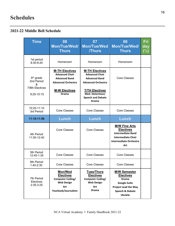## **2021-22 Middle Bell Schedule**

| <b>Time</b>                                                               | 08<br>Mon/Tue/Wed/<br><b>Thurs</b>                                                                                                          | 07<br><b>Mon/Tue/Wed</b><br><b>/Thurs</b>                                                                                                                                             | 06<br><b>Mon/Tue/Wed/</b><br><b>Thurs</b>                                                                                                          | Fri<br>day<br>$(\frac{1}{2})$ |
|---------------------------------------------------------------------------|---------------------------------------------------------------------------------------------------------------------------------------------|---------------------------------------------------------------------------------------------------------------------------------------------------------------------------------------|----------------------------------------------------------------------------------------------------------------------------------------------------|-------------------------------|
| 1st period<br>8:30-9:20                                                   | Homeroom                                                                                                                                    | Homeroom                                                                                                                                                                              | Homeroom                                                                                                                                           |                               |
| 6 <sup>th</sup> grade<br>2nd Period<br>&<br>7/8th Electives<br>9:25-10:15 | <b>M-TH Electives</b><br><b>Advanced Choir</b><br><b>Advanced Band</b><br><b>Advanced Orchestra</b><br><b>M-W Electives</b><br><b>Drama</b> | <b>M-TH Electives</b><br><b>Advanced Choir</b><br><b>Advanced Band</b><br><b>Advanced Orchestra</b><br><b>T/TH Electives</b><br>Med. Detectives/<br><b>Speech and Debate</b><br>Drama | <b>Core Classes</b>                                                                                                                                |                               |
| 10:20-11:10<br>3rd Period                                                 | <b>Core Classes</b>                                                                                                                         | <b>Core Classes</b>                                                                                                                                                                   | <b>Core Classes</b>                                                                                                                                |                               |
| 11:10-11:50                                                               | Lunch                                                                                                                                       | Lunch                                                                                                                                                                                 | Lunch                                                                                                                                              |                               |
| 4th Period<br>11:50-12:40                                                 | <b>Core Classes</b>                                                                                                                         | Core Classes                                                                                                                                                                          | <b>M/W Fine Arts</b><br><b>Electives</b><br><b>Intermediate Band</b><br><b>Intermediate Choir</b><br><b>Intermediate Orchestra</b><br>Art          |                               |
| 5th Period<br>12:45-1:35                                                  | <b>Core Classes</b>                                                                                                                         | <b>Core Classes</b>                                                                                                                                                                   | <b>Core Classes</b>                                                                                                                                |                               |
| 6th Period<br>1:40-2:30                                                   | <b>Core Classes</b>                                                                                                                         | <b>Core Classes</b>                                                                                                                                                                   | <b>Core Classes</b>                                                                                                                                |                               |
| 7th Period<br>Electives<br>$2:35-3:25$                                    | <b>Mon/Wed</b><br><b>Electives</b><br><b>Computer Coding/</b><br><b>Web Design</b><br>Art<br>Yearbook/Journalism                            | <b>Tues/Thurs</b><br><b>Electives</b><br><b>Computer Coding/</b><br><b>Web Design</b><br>Art<br><b>Drama</b>                                                                          | <b>M/W Semester</b><br><b>Electives</b><br><b>Drama</b><br><b>Google Suite</b><br><b>Project Lead the Way</b><br>Speech & Debate<br><b>Ukulele</b> |                               |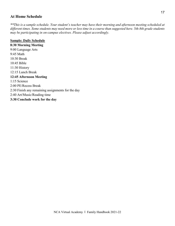#### **At Home Schedule**

*\*\*This is a sample schedule. Your student's teacher may have their morning and afternoon meeting scheduled at different times. Some students may need more or less time in a course than suggested here. 5th-8th grade students may be participating in on-campus electives. Please adjust accordingly.*

#### **Sample: Daily Schedule**

**8:30 Morning Meeting** 9:00 Language Arts 9:45 Math 10:30 Break 10:45 Bible 11:30 History 12:15 Lunch Break **12:45 Afternoon Meeting** 1:15 Science 2:00 PE/Recess Break 2:30 Finish any remaining assignments for the day 2:40 Art/Music/Reading time **3:30 Conclude work for the day**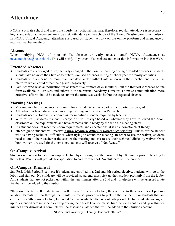## **Attendance**

NCA is a private school and meets the hourly instructional mandate; therefore, regular attendance is necessary if high standards of achievement are to be met. Attendance in the schools of the State of Washington is compulsory. In NCA's Virtual Academy, attendance is based on student activity on the online platform and attendance at required teacher meetings.

### **Absence**

When notifying NCA of your child's absence or early release, email NCVA Attendance at [ncvaattendance@nca.school](http://ncvaattendance@nca.school). This will notify all your child's teachers and enter this information into RenWeb.

## **Extended Absences**

- Students are encouraged to stay actively engaged in their online learning during extended absences. Students should take no more than five consecutive, excused absences during a school year for family activities.
- Students who are gone for more than five days suffer without interaction with their teacher and the online platform which could affect their grades negatively.
- Families who wish authorization for absences five or more days should fill out the Request Absences online form available in RenWeb and submit it to the Virtual Academy Director. To make communication more effective, efforts should be made to submit the form two weeks before the expected absence.

## **Morning Meetings**

- Morning meeting attendance is required for all students and is a part of their participation grade.
- Attendance is taken during each morning meeting and recorded in RenWeb.
- Students need to follow the Zoom classroom online etiquette required by teachers.
- With roll call, students respond "Ready" or "Not Ready" based on whether they have followed the Zoom classroom online requirements and have cameras/audio ready by the time the meeting starts.
- If a student does not meet the Zoom requirements and expectations, it is an automatic "Not Ready."
- 5th-8th grade students will receive *2 (two) technical difficulty waivers per semester*. This is for the student who is having technical difficulties when trying to attend the meeting. In order to use the waiver, students need to email their teacher at the start of the meeting and ask to use their technical difficulty waiver. Once both waivers are used for the semester, students will receive a "Not Ready."

## **On-Campus: Arrival**

Students will report to their on-campus elective by checking in at the Front Lobby 10 minutes prior to heading to their class. Parents will provide transportation to and from school. No childcare will be provided.

## **On-Campus: Dismissal**

2nd Period/4th Period Electives: If students are enrolled in a 2nd and 4th period elective, students will go to the lobby and sign out. No childcare will be provided, so parents must pick up their student promptly from the lobby. Any students that are not picked up within the ten minutes after the 2nd and 4th elective will be assessed a late fee that will be added to their tuition.

7th period electives: If students are enrolled in a 7th period elective, they will go to their grade level pick-up location. Parents will go through the regular dismissal procedures to pick up their student. For students that are enrolled in a 7th period elective, Extended Care is available after school. 7th period elective students not signed up for extended care must be picked up during their grade level dismissal time. Students not picked up within ten minutes after dismissal is complete will be assessed a late fee that will be added to their tuition account.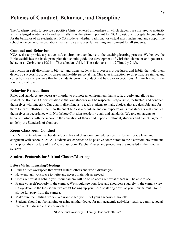## **Policies of Conduct, Behavior, and Discipline**

The Academy seeks to provide a positive Christ-centered atmosphere in which students are nurtured to maturity and challenged academically and spiritually. It is therefore important for NCA to establish acceptable guidelines for the behavior of its students. All NCA students whether traditional or virtual must understand and support the school wide behavior expectations that cultivate a successful learning environment for all students.

## **Conduct and Behavior**

NCA seeks to provide a positive, safe environment conducive to the teaching/learning process. We believe the Bible establishes the basic principles that should guide the development of Christian character and govern all behavior (1 Corinthians 10:31, 1 Thessalonians 5:11, 1 Thessalonians 4:11, 2 Timothy 2:15).

Instruction in self-discipline is biblical and trains students in processes, procedures, and habits that help them develop a successful academic career and healthy personal life. Character instruction, re-direction, retraining, and correction are components that help students grow in conduct and behavior expectations. All are framed in the foundation of love.

## **Behavior Expectations**

Rules and standards are necessary in order to promote an environment that is safe, orderly and allows all students to flourish. Our expectation is that our students will be respectful, responsible, motivated, and conduct themselves with integrity. Our goal in discipline is to teach students to make choices that are desirable and for them to learn self-discipline. Enrollment at NCA is a privilege and our expectation is that students will conduct themselves in accordance with Northshore Christian Academy goals and standards. We rely on parents to become partners with the school in the education of their child. Upon enrollment, students and parents agree to abide by the Standards of Conduct.

## **Zoom Classroom Conduct**

Each Virtual Academy teacher develops rules and classroom procedures specific to their grade level and congruent with school rules. All students are expected to be positive contributors to the classroom environment and support the structure of the Zoom classroom. Teachers' rules and procedures are included in their course syllabus.

## **Student Protocols for Virtual Classes/Meetings**

#### **Before Virtual Learning/Meetings**

- Find a quiet workspace that won't disturb others and won't distract you.
- Have enough workspace to write and access materials as needed.
- Check out what is behind you. Your camera will be on so check out what others will be able to see.
- Frame yourself properly in the camera. We should see your face and shoulders squarely in the camera view. Sit eye-level to the lens so that we aren't looking up your nose or staring down at your new haircut. Don't sit too far away from the camera.
- Make sure the lighting works. We want to see you... not your shadowy silhouette.
- Students should not be napping or using another device for non-academic activities (texting, gaming, social media, etc.) during classes or meetings.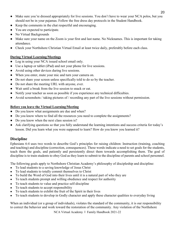- Make sure you're dressed appropriately for live sessions. You don't have to wear your NCA polos, but you should not be in your pajamas. Follow the free dress day protocols in the Student Handbook.
- Keep the comments in the chat respectful and encouraging.
- You are expected to participate.
- No Virtual Backgrounds
- Make sure your name on the Zoom is your first and last name. No Nicknames. This is important for taking attendance.
- Check your Northshore Christian Virtual Email at least twice daily, preferably before each class.

## **During Virtual Learning/Meetings**

- Log in using your NCA issued school email only.
- Use a laptop or tablet (iPad) and not your phone for live sessions.
- Avoid using other devices during live sessions.
- When you enter, mute your mic and turn your camera on.
- Do not share your screen unless specifically told to do so by the teacher.
- Do not share the meeting URL with anyone, ever.
- Wait until a break from the live session to snack or eat.
- Notify your teacher as soon as possible if you experience any technical difficulties.
- Avoid screenshots / taking pictures of / recording any part of the live sessions without permission.

## **Before you leave the Virtual Learning/Meeting**

- Do you know what assignments are due and when?
- Do you know where to find all the resources you need to complete the assignments?
- Do you know when the next class session is?
- Ask clarifying questions so that you fully understand the learning intentions and success criteria for today's lesson. Did you learn what you were supposed to learn? How do you know you learned it?

## **Discipline**

Ephesians 6:4 uses two words to describe God's principles for raising children: Instruction (training, coaching and teaching) and discipline (correction, consequences). These words indicate a need to set goals for the students, teach them the goals, and patiently and persistently direct them towards accomplishing them. The goal of discipline is to train students to obey God as they learn to submit to the discipline of parents and school personnel.

The following goals apply to Northshore Christian Academy's philosophy of discipleship and discipline:

- To lead students to a saving knowledge of Jesus Christ
- To lead students to totally commit themselves to Christ
- To build the Word of God into their lives until it is a natural part of who they are
- To teach students prompt and willing obedience and respect for authority
- To teach students to value and practice self-discipline
- To teach students to accept responsibility
- To teach students to exhibit the fruit of the Spirit in their lives
- To teach students to develop in Godly character and apply these character qualities to everyday living

When an individual (or a group of individuals), violates the standard of the community, it is our responsibility to correct the behavior and work toward the restoration of the community. Any violation of the Northshore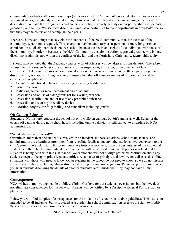Community standards (either minor or major) indicates a lack of "alignment" in a student's life. As in a car with alignment issues, a slight adjustment at the right time can make all the difference in arriving at the desired destination. To make these alignments and course corrections, we rely heavily on our partnership with parents, guardians, and family. We see most discipline issues as opportunities to make adjustments in a student's life so that they stay the course and accomplish their goals.

There are, however, things that so violate the standards of the NCA community, that, for the sake of the community, separation is required. This separation may be temporary, a suspension, or more long-term, an expulsion. In all disciplinary decisions we seek to balance the needs and rights of the individual with those of the community. In order to best serve the NCA Community, the administration is granted great leeway in how discipline is administered within the confines of the law and the Northshore Christian Academy philosophy.

It should also be noted that the frequency and severity of offenses will be taken into consideration. Therefore, it is possible that a student's 1st violation may result in suspension, expulsion, or involvement of law enforcement. Likewise, in cases of "exceptional misconduct" or severe misbehavior, the steps of progressive discipline may not apply. Though not an exhaustive list, the following examples of misconduct would be considered exceptional:

- 1. Assault or intentional behavior threatening or causing bodily harm
- 2. False fire alarm
- 3. Malicious, sexual, or racial harassment and/or assault
- 4. Possession and/or use of a dangerous (or look-a-like) weapon
- 5. Possession, distribution, and/or use of any prohibited substance
- 6. Possession or use of any incendiary device
- 7. Extortion, forgery, thrift, gambling, and vandalism including graffiti

#### **Off-Campus Behavior**

Students at Northshore represent the school not only while on campus, but off campus as well. Behavior that occurs off campus during non-school hours, including online behavior, is still subject to discipline by NCA administration.

#### **"What about the other kid?"**

Oftentimes, more than one student is involved in an incident. In these situations, school staff, faculty, and administration are oftentimes prohibited from revealing details about any other students involved except to the child's parents. We ask that, in this community, we trust one another to have the best interest of the individual students and the school community at heart. While we will do our best to assure all parties involved that the situation is being dealt with in a just manner, we cannot and will not divulge protected information about any student except to the appropriate legal authorities. As a matter of principle and law, we only discuss discipline situations with those who need to know. Other students in the school do not need to know, so we do not discuss situations with them, including what is discovered during internal investigations. Please keep this in mind when you hear students discussing the details of another student's latest misdeeds. They may not have all the information.

#### **Consequence**

NCA wishes to train young people to follow Christ. Our love for our students never falters, but the love does not eliminate consequences for misbehavior. Parents will be notified by a Discipline Referral Form, email, or phone call.

Below you will find samples of consequences for the violation of school rules and/or guidelines. This list is not intended to be all-inclusive, but is provided as a guide. The school administration reserves the right to modify these consequences as it determines each situation warrants.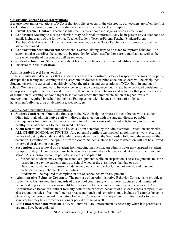#### **Classroom/Teacher Level Interventions**

Because most minor violations of NCA Behavior policies occur in the classroom, our teachers are often the first level in discipline. Some consequences students can expect at this level of discipline:

- **Parent Teacher Contact:** Teacher sends email, leaves phone message, or sends a note home.
- **Conference:** Meeting to discuss behavior. May be formal or informal. May be in-person or via telephone or email. Includes any of the following: Teacher/Student, Teacher/Parent, Teacher/Student/Parent, Teacher/Virtual Academy Director, Teacher/Teacher, Teacher/Lead Teacher or any combination of the above mentioned.
- **Contract with Student/Parent:** Statement is written, listing steps to be taken to improve behavior. The statement also describes the support to be provided by school staff and/or parent/guardian, as well as the date when results of the contract will be reviewed.
- **Student action plan:** Student writes about his or her behavior, causes and identifies possible alternatives.
- **Referral to Administration**

#### **Administrative Level Interventions**

If the administration determines that a student's behavior demonstrates a lack of respect for persons or property, disrupts the teaching and learning in the classroom or violates discipline code, the student will be disciplined. Student behavior is expected to positively reflect the mission and expectations of NCA, both in and out of school. We have not attempted to list every behavior and consequence, but instead have provided guidelines for appropriate discipline. As mentioned previously, there are certain behaviors and activities that pose such a level or disruption to learning, and/or danger to self and/or others that immediate action at higher levels of intervention is required by school guidelines. Examples include: violence or threat of violence, harassment/bullying, drug or alcohol use, weapons, etc.

Possible Administrative Level Interventions:

- **Student Conference-** Often, the first step in the NCA discipline process is a conference with a student. Often informal, administrative staff will discuss the situation with the student, discuss possible consequences for continued behavior, attempt to determine causes of unwanted behavior, and explore healthy, wise alternatives to the unwanted behavior.
- **Zoom Detentions-** Students may be issued a Zoom detention by the administration. Detention supersedes ALL OTHER SCHOOL ACTIVITIES. Any potential conflicts e.g. medical appointments, work, etc. must be worked out by the student and family to serve detention on the Wednesday following the receipt of the detention. Detention will be 3pm to 4pm via Zoom. Students late to the Zoom detention will not be allowed to serve their detention that day.
- **Suspension** is the removal of a student from ongoing instruction. An administrator may suspend a student for up to 10 days. A conference must be held with an administrator before a student may be readmitted to school. A suspension becomes part of a student's discipline file.
	- Suspended students may complete school assignments while on suspension. These assignments must be turned in the day the student returns to school whether the class meets that day or not.
	- During out-of-school suspension, students may not come to school, may not attend, and may not participate in any school-related activities.
	- Students will be required to complete an out of school behavior assignment.
- **Administrative Behavior Contracts-** The purpose of an Administrative Behavior Contract is to provide a student who has violated the standards of the school community with a more structured and monitored behavioral experience for a season until full restoration to the school community can be achieved. An Administrative Behavior Contract formally defines the expected behavior of a student across campus, in all classes, and includes "free time" such as breaks and lunch and sometimes may include off-campus behavior. Generally, the term of an Administrative Behavior Contract will be anywhere from four weeks to one semester but may be enforced for a longer period of time as well.
- Law Enforcement Intervention-NCA will involve Law Enforcement as necessary when it is perceived a law may have been violated.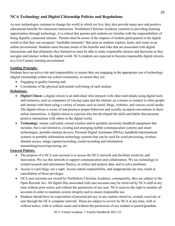## **NCA Technology and Digital Citizenship Policies and Regulations**

As new technologies continue to change the world in which we live, they also provide many new and positive educational benefits for classroom instruction. Northshore Christian Academy commits to providing learning opportunities through technology, it is critical that parents and students are familiar with the responsibilities of being digitally connected citizens. Parents must be aware of the impacts of student participation in the digital world so that they can recognize "teachable moments" that arise as students explore, learn, and create in an online environment. Students must become aware of the benefits and risks that are associated with digital interactions and that ultimately they themselves must be able to make responsible choices and decisions as they navigate and interact within the digital world. NCA students are expected to become responsible digital citizens in a 21st Century learning environment.

#### **Guiding Principle:**

Students have an active role and responsibility to ensure they are engaging in the appropriate use of technology (digital citizenship) within our school community, to ensure they are:

- Engaging in quality learning and
- Considerate of the physical and mental well-being of each student.

## **Definitions:**

- **Digital Citizen-** a digital citizen is an individual who interacts with other individuals using digital tools and resources, such as computers of varying types and the internet ,as a means to connect to other people and interact with them using a variety of means such as email, blogs, websites, and various social media. The digital citizen is aware of and practices proper behaviors and socially accepted conventions in these online interactions. A digital citizen is a person who has developed the skills and habits that promote positive interactions with others in the digital world.
- **Technology-** means a privately owned wireless and/or portable electronic handheld equipment that includes, but is not limited to, existing and emerging mobile communication systems and smart technologies, portable internet devices, Personal Digital Assistants (PDAs), handheld entertainment systems or portable information technology systems that can be used for word processing, wireless Internet access, image capture/recording, sound recording and information transmitting/receiving/storing, etc.

#### **General Policies:**

- The purpose of a NCA user account is to access the NCA network and facilitate creativity and innovation. We use this network to support communication and collaboration. We use technology to extend research and information fluency, to collect and analyze data, and to solve problems.
- Access is a privilege, not a right. Access entails responsibility, and inappropriate use may result in cancellation of those privileges.
- NCA user accounts are owned by Northshore Christian Academy; consequently, they are subject to the Open Records Act. All digital files associated with user accounts may be retrieved by NCA staff at any time without prior notice and without the permission of any user. NCA reserves the right to monitor all accounts in order to maintain system integrity and to ensure responsible use.
- Students should have no expectation of personal privacy in any matters stored in, created, received, or sent through the NCA computer network. These are subject to review by NCA at any time, with or without notice, with or without cause and without the permission of any student or parent/guardian.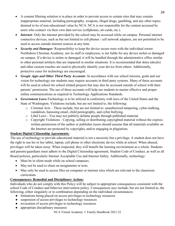- A content filtering solution is in place in order to prevent access to certain sites that may contain inappropriate material, including pornography, weapons, illegal drugs, gambling, and any other topics deemed to be of non-educational value by NCA. NCA is not responsible for the content accessed by users who connect via their own data service (cellphones, air-cards, etc.).
- *Internet* Only the internet provided by the school may be accessed while on campus. Personal internet connective devices, such as but not limited to cell phones / cell network adapters, are not permitted to be used to access outside internet sources at any time.
- *Security and Damages* Responsibility to keep the device secure rests with the individual owner. Northshore Christian Academy, nor its staff or employees, is not liable for any device stolen or damaged on campus. If a device is stolen or damaged, it will be handled through the administrative office similar to other personal artifacts that are impacted in similar situations. It is recommended that skins (decals) and other custom touches are used to physically identify your device from others. Additionally, protective cases for technology are encouraged.
- *Google Apps and Other Third Party Accounts* In accordance with our school mission, goals and our vision for technology our students may require accounts in third party systems. Many of these accounts will be used at school for school related projects but may also be accessed outside of school with their parents' permission. The use of these accounts will help our students to master effective and proper online communications as required in Technology Applications Standards.
- *Government Laws-*Technology is to be utilized in conformity with laws of the United States and the State of Washington. Violations include, but are not limited to, the following:
	- o Criminal Acts These include, but are not limited to: unauthorized tampering, cyber-stalking, vandalism, harassing email, child pornography, and cyber-bullying.
	- o Libel Laws You may not publicly defame people through published material.
	- o Copyright Violations Copying, selling or distributing copyrighted material without the express written permission of the author or publisher (users should assume that all materials available on the Internet are protected by copyright), and/or engaging in plagiarism.

#### **Student Digital Citizenship Agreements:**

The use of technology to provide educational material is not a necessity but a privilege. A student does not have the right to use his or her tablet, laptop, cell phone or other electronic device while at school. When abused, privileges will be taken away. When respected, they will benefit the learning environment as a whole. Students and parents/guardians must adhere to the Digital Citizenship agreement, Student Code of Conduct, as well as all Board policies, particularly Internet Acceptable Use and Internet Safety. Additionally, technology:

- Must be in silent mode while on school campuses.
- May not be used to cheat on assignments or tests.
- May only be used to access files on computer or internet sites which are relevant to the classroom curriculum.

## **Consequences: Remedial and Disciplinary Action:**

Individuals who do not comply with this Policy will be subject to appropriate consequences consistent with the school Code of Conduct and behavior intervention policy. Consequences *may* include, but are not limited to, the following, either singularly or in combination depending on the individual circumstances:

- limitations being placed on access privileges to technology resources
- suspension of access privileges to technology resources
- revocation of access privileges to technology resources
- appropriate disciplinary measures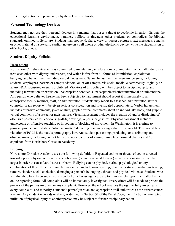• legal action and prosecution by the relevant authorities

#### **Personal Technology Devices**

Students may not use their personal devices in a manner that poses a threat to academic integrity, disrupts the educational learning environment, harasses, bullies, or threatens other students or contradicts the biblical standards outlined in Scripture. Students may not send, share, view or possess pictures, text messages, e-mails, or other material of a sexually explicit nature on a cell phone or other electronic device, while the student is on or off school grounds.

#### **Student Dignity Policies**

#### **Harassment**

Northshore Christian Academy is committed to maintaining an educational community in which all individuals treat each other with dignity and respect, and which is free from all forms of intimidation, exploitation, bullying, and harassment, including sexual harassment. Sexual harassment between any persons, including students, employees, parents or campus visitors, on or off campus, via social media, electronically, digitally or at any NCA sponsored event is prohibited. Violators of this policy will be subject to discipline, up to and including termination or expulsion. Inappropriate conduct is unacceptable whether intentional or unintentional. Any person who believes he/she has been subjected to harassment should report it immediately to an appropriate faculty member, staff, or administrator. Students may report to a teacher, administrator, staff or counselor. Each report will be given serious consideration and investigated appropriately. Verbal harassment includes offensive comments, jokes or slurs, graphic verbal comments about an individual's body, and graphic verbal comments of a sexual or racist nature. Visual harassment includes the creation of and/or displaying of offensive posters, cards, cartoons, graffiti, drawings, objects, or gestures. Physical harassment includes unwelcome or offensive touching or impeding or blocking of movement. In Washington, it is a crime to possess, produce or distribute "obscene matter" depicting persons younger than 18 years old. This would be a violation of PC 311, the state's pornography law. Any student possessing, producing, or distributing any obscene matter, including but not limited to nude pictures of a minor, may face criminal charges and / or expulsion from Northshore Christian Academy.

#### **Bullying**

Northshore Christian Academy uses the following definition: Repeated actions or threats of action directed toward a person by one or more people who have (or are perceived to have) more power or status than their target in order to cause fear, distress or harm. Bullying can be physical, verbal, psychological or any combination of these three. Bullying behaviors can include name-calling, obscene gesturing, malicious teasing, rumors, slander, social exclusion, damaging a person's belongings, threats and physical violence. Students who feel that they have been subjected to conduct of a harassing nature are to immediately report the matter by the online reporting form. All complaints will be immediately investigated. Every effort will be made to protect the privacy of the parties involved in any complaint. However, the school reserves the right to fully investigate every complaint, and to notify a student's parent/guardian and appropriate civil authorities as the circumstances warrant. Any student who aids or abets, as defined in Section 31 of the Penal Code, the infliction or attempted infliction of physical injury to another person may be subject to further disciplinary action.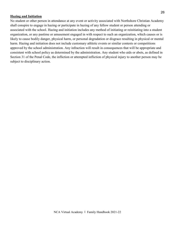#### **Hazing and Initiation**

No student or other person in attendance at any event or activity associated with Northshore Christian Academy shall conspire to engage in hazing or participate in hazing of any fellow student or person attending or associated with the school. Hazing and initiation includes any method of initiating or reinitiating into a student organization, or any pastime or amusement engaged in with respect to such an organization, which causes or is likely to cause bodily danger, physical harm, or personal degradation or disgrace resulting in physical or mental harm. Hazing and initiation does not include customary athletic events or similar contests or competitions approved by the school administration. Any infraction will result in consequences that will be appropriate and consistent with school policy as determined by the administration. Any student who aids or abets, as defined in Section 31 of the Penal Code, the infliction or attempted infliction of physical injury to another person may be subject to disciplinary action.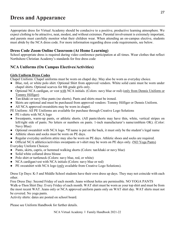## **Dress and Appearance**

Appropriate dress for Virtual Academy should be conducive to a positive, productive learning atmosphere. We expect clothing to be attractive, neat, modest, and without extremes. Parental involvement is extremely important, and parents must carefully monitor what their children wear. When attending an on-campus elective, students must abide by the NCA dress code. For more information regarding dress code requirements, see below.

## **Dress Code Zoom Online Classroom (At Home Learning)**

School appropriate dress is required during video conference participation at all times. Wear clothes that reflect Northshore Christian Academy's standards for free dress code

## **NCA Uniforms (On Campus Electives/Activities)**

#### **Girls Uniform Dress Codes**

Chapel Uniform: Chapel uniforms must be worn on chapel day. May also be worn as everyday choice.

- Blue, red, or white polo shirt. Optional Shirt from approved vendors. White solid cami must be worn under chapel shirts. Optional scarves for 8th grade girls only.
- Optional NCA cardigan, or vest with NCA initials. (Colors: navy blue or red) (only from Dennis Uniform or Tommy Hilfiger)
- Tan-khaki or navy blue pants (no shorts). Pants and shirts must be ironed.
- Skirts are optional and must be purchased from approved vendors: Tommy Hilfiger or Dennis Uniform.
- All NCA approved sweatshirts may be worn in chapel.

PE Uniform: All PE Uniforms are available for purchase through Creative Logo Solutions

- PE t-shirts with NCA logo
- Sweatpants, warm-up pants, or athletic shorts. (All pants/shorts may have thin, white, vertical stripes on left/right side of pants. No letters or numbers on pants. 1-inch manufacturer's name/emblem OK). (Color: Navy Blue)
- Optional sweatshirt with NCA logo. \*If name is put on the back, it must only be the student's legal name
- Athletic shoes and socks must be worn on PE days.
- Regular everyday uniform attire may also be worn on PE days. Athletic shoes and socks are required.
- Official NCA athletics/activities sweatpants or t-shirt may be worn on PE days only. (NO Yoga Pants) Everyday Uniform Choices:
- Pants, skirts, capris, or hemmed walking shorts (Colors: tan/khaki or navy blue)
- Solid white collared dress blouse
- Polo shirt or turtleneck (Colors: navy blue, red, or white)
- NCA cardigan/vest with NCA initials (Colors: navy blue or red)
- PE sweatshirt with NCA logo (only available from Creative Logo Solutions).

Dress Up Days: K-5 and Middle School students have their own dress up days. They may not coincide with each other.

Free Dress Day: Second Friday of each month. Jeans without holes are permissible. NO YOGA PANTS Walk-a-Thon Shirt Day: Every Friday of each month. WAT shirt must be worn as your top shirt and must be from the most recent WAT. Jeans only or NCA approved uniform pants only on WAT shirt day. WAT shirts must not be covered. No yoga pants.

Activity shirts: dates are posted on school board.

Please see Uniform Handbook for further details.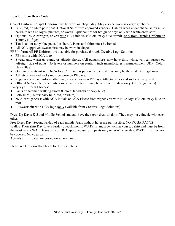#### **Boys Uniform Dress Code**

Chapel Uniform: Chapel Uniform must be worn on chapel day. May also be worn as everyday choice.

- Blue, red, or white polo shirt. Optional Shirt from approved vendors. T-shirts worn under chapel shirts must be white with no logos, pictures, or words. Optional ties for 8th grade boys only with white dress shirt.
- Optional NCA cardigan, or vest with NCA initials. (Colors: navy blue or red) (only from Dennis Uniform or Tommy Hilfiger)
- Tan-khaki or navy blue pants (no shorts). Pants and shirts must be ironed.
- All NCA approved sweatshirts may be worn in chapel.
- PE Uniform: All PE Uniforms are available for purchase through Creative Logo Solutions
- PE t-shirts with NCA logo
- Sweatpants, warm-up pants, or athletic shorts. (All pants/shorts may have thin, white, vertical stripes on left/right side of pants. No letters or numbers on pants. 1-inch manufacturer's name/emblem OK). (Color: Navy Blue)
- Optional sweatshirt with NCA logo. \*If name is put on the back, it must only be the student's legal name
- Athletic shoes and socks must be worn on PE days.
- Regular everyday uniform attire may also be worn on PE days. Athletic shoes and socks are required.
- Official NCA athletics/activities sweatpants or t-shirt may be worn on PE days only. (NO Yoga Pants) Everyday Uniform Choices:
- Pants or hemmed walking shorts (Colors: tan/khaki or navy blue)
- Polo shirt (Colors: navy blue, red, or white)
- NCA cardigan/vest with NCA initials or NCA Fleece front zipper vest with NCA logo (Colors: navy blue or red)
- PE sweatshirt with NCA logo (only available from Creative Logo Solutions).

Dress Up Days: K-5 and Middle School students have their own dress up days. They may not coincide with each other.

Free Dress Day: Second Friday of each month. Jeans without holes are permissible. NO YOGA PANTS Walk-a-Thon Shirt Day: Every Friday of each month. WAT shirt must be worn as your top shirt and must be from the most recent WAT. Jeans only or NCA approved uniform pants only on WAT shirt day. WAT shirts must not be covered. No yoga pants.

Activity shirts: dates are posted on school board.

Please see Uniform Handbook for further details.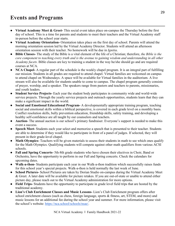- **Virtual Academy Meet & Greet-** This social event takes place on-campus the Thursday before the first day of school. This is a time for parents and students to meet their teachers and the Virtual Academy staff in-person before the school year starts.
- **Virtual Academy Orientation-** Orientation takes place on the first day of school. Parents will attend the morning orientation session led by the Virtual Academy Director. Students will attend an afternoon orientation session with their teacher. No homework will be due in *Ignitia*.
- **Bible Classes-** The study of the Bible is a vital element of the life of a Christian; therefore, *the Bible is the core component to teaching every truth and is the avenue to gaining wisdom and understanding in all other Academy facets*. Bible classes are key to training a student in the way he/she should go and are required courses at NCA.
- **NCA Chapel-** A regular part of the schedule is the weekly chapel program. It is an integral part of fulfilling our mission. Students in all grades are required to attend chapel. Virtual families are welcomed on campus to attend chapel on Wednesdays. A space will be available for Virtual families in the auditorium. A live stream will also be available for students unable to come to campus. The chapel program generally consists of prayer, worship, and a speaker. The speakers range from pastors and teachers to parents, missionaries, and youth leaders.
- **Student Service Projects-** Each year the student body participates in community wide and world-wide service projects. Through the yearly service projects and outreach opportunities, students learn that they can make a significant impact in the world.
- **Social and Emotional Educational Program-** A developmentally appropriate training program, teaching social and emotional skills within a biblical perspective, is covered in each grade level on a monthly basis. Conflict resolution skills, bully prevention education, friendship skills, safety training, and developing a healthy self-confidence are all taught by our counselors and teachers.
- **Auction-** The annual auction is our school's primary fundraiser. Everyone's support is needed to make this event a success.
- **Speech Meet-** Students each year select and memorize a speech that is presented to their teacher. Students are able to determine if they would like to participate in front of a panel of judges. If selected, they will present in their grade-level chapel.
- **Math Olympics-** Teachers will be given materials to assess their students in math to see which ones qualify for the Math Olympics. Qualifying students will compete against other math qualifiers from various ACSI schools.
- **Fall and Spring Concerts-** 5th-8th grade students who have chosen their electives in Choir, Band or Orchestra, have the opportunity to perform in our Fall and Spring concerts. Check the calendars for upcoming dates.
- **Walk-a-thon-** Students participate each year in our Walk-a-thon tradition which successfully raises funds for this school year's special projects. Walk-a-thon is held normally the last week of June.
- **School Pictures-** School Pictures are taken by Dorian Studio on-campus during the Virtual Academy Meet & Greet. A later date will be available for picture retakes. If you are out-of-state or unable to attend either picture day, please reach out to the Virtual Academy administration for more options.
- **Field Trips-** Students have the opportunity to participate in grade level field trips that are hosted by the traditional academy.
- **Lion's Club Enrichment Classes and Music Lessons-** Lion's Club Enrichment program offers after school enrichment classes (such as chess, foreign language, sports & fitness, art, STEM, and more) and music lessons for an additional fee during the school year and summer. For more information, please visit the school's website: [https://nca.school/schools/nsae/.](https://nca.school/schools/nsae/)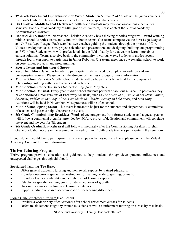- **3rd & 4th Enrichment Opportunities for Virtual Students-** Virtual 3rd-4th grade will be given vouchers for Lion's Club Enrichment classes in lieu of electives or specialist classes.
- **5th Grade & Middle School Electives-** 5th-8th grade students may take one on-campus elective per semester. For a Virtual Academy 5th-8th grade elective form, please contact the Virtual Academy Administrative Assistant.
- **Robotics & Jr. Robotics-** Northshore Christian Academy has a thriving robotics program: 3 award winning middle school Robotics teams and 3 Junior Robotics teams. Our teams compete via the First Lego League and Jr. First Lego League. Each team has two coaches guiding the students through the process of Core Values development as a team, project selection and presentation, and designing, building and programming an EV3 robot. Students work with professionals in the field of study for that year to learn more about current solutions. Teams also give back to the community in various ways. Students in grades second through fourth can apply to participate in Junior Robotics. Our teams meet once a week after school to work on core values, projects, and programming.
- **Sports Teams and Intramural Sports**
- **Zero Hour Music Groups-** In order to participate, students need to complete an audition and any prerequisites required. Please contact the director of the music group for more information.
- **Middle School Retreats-** Middle school students will participate in a fall retreat for the purpose of relationship building with their teachers and each other.
- **Middle School Concerts-** Grades 6-8 performing (Nov./May etc.)
- **Middle School Musical-** Every year middle school students perform a fabulous musical. In past years they have performed junior versions of Broadway Musicals, such as *The Music Man*, *The Sound of Music*, *Annie*, *Seussical*, *Fiddler on the Roof*, *Alice in Wonderland*, *Aladdin*, *Beauty and the Beast*, and *Lion King*. Auditions will be held in November. Most practices will be after school.
- **Middle School Spring Social-** This event is meant to be just for the students and chaperones. A committee of teachers and parents helps chaperone the event.
- **8th Grade Commissioning Breakfast-** Words of encouragement from former students and a guest speaker will follow a continental breakfast provided by NCA. A prayer of dedication and commitment will conclude the event and the year for 8th graders.
- **8th Grade Graduation-** Rehearsal will follow immediately after the Commissioning Breakfast. Eighth Grade graduation occurs in the evening in the auditorium. Eighth grade teachers participate in the ceremony.

If your student would like to participate in any on-campus activities not listed here, please contact the Virtual Academy Assistant for more information.

## **Thrive Tutoring Program**

Thrive program provides education and guidance to help students through developmental milestones and unexpected challenges through childhood.

Specialized Tutoring (Fee-Based)

- Offers general academic tutoring and homework support by trained educators.
- Provides one-on-one specialized instruction for reading, writing, spelling, or math.
- Provides close accountability and a high level of learning support.
- Establishes specific learning goals for identified areas of growth.
- Uses multi-sensory teaching and learning strategies.
- Supports individual-based accommodations for learning differences.

Lion's Club Enrichment Program (Fee-Based)

- Provides a wide variety of educational after school enrichment classes for students.
- Offers music lessons taught by trained musicians as well as enrichment tutoring on a case by case basis.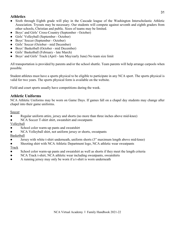## **Athletics**

- Sixth through Eighth grade will play in the Cascade league of the Washington Interscholastic Athletic Association. Tryouts may be necessary. Our students will compete against seventh and eighth graders from other schools, Christian and public. Sizes of teams may be limited.
- Boys' and Girls' Cross-Country (September October)
- Girls' Volleyball (September October)
- Boys' Soccer (September October)
- Girls' Soccer (October mid December)
- Boys' Basketball (October mid December)
- Girls' Basketball (February late March)
- Boys' and Girls' Track (April late May/early June) No team size limit

All transportation is provided by parents and/or the school shuttle. Team parents will help arrange carpools when possible.

Student athletes must have a sports physical to be eligible to participate in any NCA sport. The sports physical is valid for two years. The sports physical form is available on the website.

Field and court sports usually have competitions during the week.

## **Athletic Uniforms**

NCA Athletic Uniforms may be worn on Game Days. If games fall on a chapel day students may change after chapel into their game uniforms.

Soccer

- Regular uniform attire, jersey and shorts (no more than three inches above mid-knee)
- NCA Soccer T-shirt shirt, sweatshirt and sweatpants
- Volleyball
- School color warm-up pants and sweatshirt
- NCA Volleyball shirt, not uniform jersey or shorts, sweatpants

Basketball

- Jersey with white t-shirt underneath, uniform shorts (3" maximum length above mid-knee)
- Shooting shirt with NCA Athletic Department logo, NCA athletic wear sweatpants

Track

- School color warm-up pants and sweatshirt as well as shorts if they meet the length criteria
- NCA Track t-shirt, NCA athletic wear including sweatpants, sweatshirts
- A running jersey may only be worn if a t-shirt is worn underneath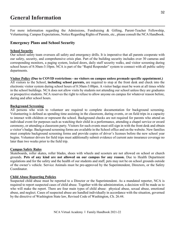## **General Information**

For more information regarding the Admissions, Fundraising & Gifting, Parent-Teacher Fellowship, Volunteering, Campus Expectations, Notice Regarding Rights of Parents, etc., please consult the NCA Handbook.

#### **Emergency Plans and School Security**

#### **School Security**

Our school safety team oversees all safety and emergency drills. It is imperative that all parents cooperate with our safety, security, and comprehensive crisis plan. Part of the building security includes over 30 cameras and corresponding monitors, a paging system, locked doors, daily staff security walks, and visitor screening during school hours of 8:30am-3:10pm. NCA is part of the "Rapid Responder" system to connect with all public safety departments.

**Visitor Policy (Due to COVID restrictions - no visitors on campus unless premade specific appointment.)** All visitors to the School, **including school parents,** are required to stop at the front desk and check into the electronic visitor system during school hours of 8:30am-3:00pm. A visitor badge must be worn at all times while in the school buildings. NCA does not allow visits by students not attending our school unless they are graduates or prospective students. NCA reserves the right to refuse to allow anyone on campus for whatever reason before, during and after school hours.

#### **Background Screening**

All persons who wish to volunteer are required to complete documentation for background screening. Volunteering is defined as spending time assisting in the classroom, during events, or on field trips in a capacity to interact with children or represent the school. Background checks are not required for parents who attend an individual event for purposes such as watching their child in a performance, attending a chapel service or award ceremony, or attending a classroom party. Visitors for such events must still sign in with the front desk and obtain a visitor's badge. Background screening forms are available in the School office and on the website. New families must complete background screening forms and provide copies of driver's licenses before the new school year begins. Volunteer drivers for field trips must additionally submit evidence of current auto insurance coverage no later than two weeks prior to the field trip.

#### **Campus Safety Rules**

Skateboards, roller skates, roller blades, shoes with wheels and scooters are not allowed on school or church grounds. **Pets of any kind are not allowed on our campus for any reason.** Due to Health Department regulations and for the safety and the health of our students and staff, pets may not be on school grounds outside of the owner's vehicle. Service Animals must be pre-approved by the Superintendent, Directors, or the Safety Coordinator.

#### **Child Abuse Reporting Policies**

Suspected child abuse must be reported to a Director or the Superintendent. As a mandated reporter, NCA is required to report suspected cases of child abuse. Together with the administration, a decision will be made as to who will make the report. There are four main types of child abuse: physical abuse, sexual abuse, emotional abuse, and neglect. Cases of suspected abuse are handled individually in accordance with the situation, governed by the directive of Washington State law, Revised Code of Washington, Ch. 26.44.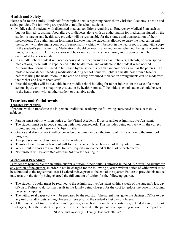## **Health and Safety**

Please refer to the Family Handbook for complete details regarding Northshore Christian Academy's health and safety policies. The following are specific to middle school students.

- Middle school students with diagnosed medical conditions requiring an Emergency Medical Plan such as, but not limited to, asthma, food allergy, or diabetes along with an authorization for medication signed by the student's parents and health care provider will be responsible for the storage and transportation of their medications. The authorization form must indicate that the student is allowed to carry the medication and the student will also sign a contract of responsibility which will be kept in the health room along with a copy in the student's permanent file. Medications should be kept in a locked locker when not being transported to lunch, recess, or PE. All medications will be examined by the school nurse, and paperwork will be distributed to necessary staff.
- If a middle school student will need occasional medication such as pain relievers, antacids, or prescription medications, these will be kept locked in the health room and available to the student when needed. Authorization forms will need to be signed by the student's health care provider as well as the parents. The middle school student needing medication during school hours will obtain a health pass from a teacher before visiting the health room. In the case of a daily prescribed medication arrangements can be made with the teacher and health room staff.
- First aid supplies will be available in the middle school building for minor injuries. In the case of a more serious injury or illness requiring evaluation by health room staff the middle school student should be sent to the health room with another student or available adult.

## **Transfers and Withdrawals**

## **Transfer Procedures**

If parents wish to transfer to the in-person, traditional academy the following steps need to be successfully achieved:

- Parents must submit written notice to the Virtual Academy Director and/or Administrative Assistant.
- The student must be in good standing with their coursework. This includes being on track with the correct pacing, grades, and mastery of subject matters.
- Grades and absence work will be considered and may impact the timing of the transition to the in-school program.
- An open seat in the classrooms must be available.
- Transfer to and from each school will follow the schedule such as end of the quarter timing.
- When limited spots are available, transfer requests are collected at the start of each quarter.
- No transfers will be admitted after the 3rd quarter has begun.

## **Withdrawal Procedures**

Families are responsible for an entire quarter's tuition if their child is enrolled in the NCA Virtual Academy for any portion of the quarter. In order to not be charged for the following quarter, written notice of withdrawal must be submitted to the registrar at least 14 calendar days prior to the end of the quarter. Failure to provide this notice may result in the family being charged the full amount of tuition for the following quarter.

- The student's books **must** be returned to the Administrative Assistant within a week of the student's last day of class. Failure to do so may result in the family being charged for the cost to replace the books, including taxes and shipping.
- The withdrawal paperwork will be prepared by the registrar. The parent must go to the Business Office to pay any tuition and/or outstanding charges or fees prior to the student's last day of classes.
- After payment of tuition and outstanding charges (such as library fines, sports fees, extended care, textbook charges, etc.), the student's report card will be released to the parent or a requesting school. If the report card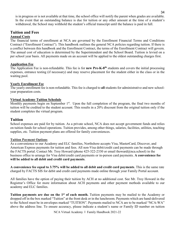is in progress or is not available at that time, the school office will notify the parent when grades are available. In the event that an outstanding balance is due for tuition or any other amount at the time of a student's withdrawal, the School may withhold the student's official transcript until the balance is paid in full.

#### **Tuition and Fees Annual Costs**

The financial terms of enrollment at NCA are governed by the Enrollment Financial Terms and Conditions Contract ("Enrollment Contract"). This handbook outlines the general NCA policies regarding tuition. If there is a conflict between this handbook and the Enrollment Contract, the terms of the Enrollment Contract will govern. The annual cost of education is determined by the Superintendent and the School Board. Tuition is levied on a per school year basis. All payments made on an account will be applied to the oldest outstanding charges first.

## **Application Fee**

The Application Fee is non-refundable. This fee is for **new Pre-K-8th** students and covers the initial processing expenses, entrance testing (if necessary) and may reserve placement for the student either in the class or in the waiting pool.

#### **Yearly Enrollment Fee**

The yearly enrollment fee is non-refundable. This fee is charged to **all** students for administrative and new schoolyear preparation costs.

#### **Virtual Academy Tuition Schedule**

Monthly payments begin on September 1<sup>st</sup>. Upon the full completion of the program, the final two months of tuition will be credited to the student account. This results in a 20% discount from the original tuition only if the student completes the virtual program.

## **Tuition**

School expenses are paid for by tuition. As a private school, NCA does not accept government funds and relies on tuition funds for school operations. Tuition provides, among other things, salaries, facilities, utilities, teaching supplies, etc. Tuition payment plans are offered for family conveniences.

#### **Tuition Payment Options**

As a convenience to our Academy and ELC families, Northshore accepts Visa, MasterCard, Discover, and American Express payments for tuition and fees. All non-Visa debit/credit card payments can be made through the FACTS portal. Contact Mr. Troy Howard (phone 425-322-2330 or email thoward@nca.school) in the business office to arrange for Visa debit/credit card payments or in-person card payments. **A convenience fee will be added to all debit and credit card payments**.

**A convenience fee equal to 3.75% will be added to all debit and credit card payments**. This is the same rate charged by FACTS SIS for debit and credit card payments made online through your Family Portal account.

All families have the option of paying their tuition by ACH at no additional cost. See Mr. Troy Howard in the Registrar's Office for more information about ACH payments and other payment methods available to our academy and ELC families.

**Tuition payments are due on the 1st of each month.** Tuition payments may be mailed to the Academy or dropped off in the box marked "Tuition" at the front desk or in the lunchroom. Payments which are hand-delivered to the School must be in envelopes marked "TUITION". Payments mailed to NCA are to be marked "NCA-WA" above the address line. To ensure accuracy, please indicate a student's name or Family ID number on tuition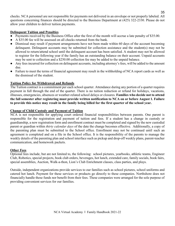checks. NCA personnel are not responsible for payments not delivered in an envelope or not properly labeled. All questions concerning finances should be directed to the Business Department at (425) 322-2330. Please do not allow your children to deliver tuition payments.

#### **Delinquent Tuition and Penalties**

- Payments received by the Business Office after the first of the month will accrue a late penalty of \$35.00.
- A \$35.00 fee will be assessed on all checks returned from the bank.
- Dismissal may result if payment arrangements have not been made within 60 days of the account becoming delinquent. Delinquent accounts may be submitted for collection assistance and the student(s) may not be allowed to return/attend school until the delinquent account has been satisfied. A student may not be allowed to register for the following year if the family has an outstanding balance on their account. Unpaid accounts may be sent to collection and a \$250.00 collection fee may be added to the unpaid balance.
- Any fees incurred for collection on delinquent accounts, including attorney's fees, will be added to the amount due.
- Failure to meet the terms of financial agreement may result in the withholding of NCA report cards as well as the dismissal of the student.

#### **Tuition Policy for Withdrawal and Refunds**

The Tuition contract is a commitment per each school quarter. Attendance during any portion of a quarter requires payment in full through the end of the quarter. There is no tuition reduction or refund for holidays, vacations, illnesses, emergencies, absences or weather-related school delays or closures. **Families who decide not to attend the fall semester after registering must provide written notification to NCA on or before August 1. Failure to provide this notice may result in the family being billed for the first quarter of the school year.**

#### **Change of Child Custody and Payment of Tuition**

NCA is not responsible for applying court ordered financial responsibilities between parents. One parent is responsible for the registration and payment of tuition and fees. If a student has a change in custody or guardianship, a new registration form and enrollment contract must be completed and signed by the new custodial parent or guardian within *thirty calendar days* of the date the change becomes effective. Additionally, a copy of the parenting plan must be submitted to the School office. Enrollment may not be continued until such an agreement is completed and on a file in the School office. It is the responsibility of the parents to manage the weekly details of the parenting plan and school interface such as pickup and drop-off weekly plans, parent-teacher communication, and homework packets.

#### **Other Fees**

Optional fees include, but are not limited to, the following: school pictures, yearbooks, athletic teams, Engineer Club, Robotics, special projects, book club orders, beverages, hot lunch, extended care, family socials, book fairs, special assemblies, Auction, Walk-a-thon, Lion's Club Enrichment classes, class parties, and plays.

Outside, independent organizations provide services to our families such as school pictures, school uniforms and catered hot lunch. Payment for these services or products go directly to these companies. Northshore does not financially handle these funds nor benefit from their fees. These companies were arranged for the sole purpose of providing convenient services for our families.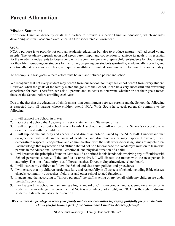## **Parent Affirmation**

### **Mission Statement**

Northshore Christian Academy exists as a partner to provide a superior Christian education, which includes developing spiritual, academic excellence in a Christ-centered environment.

#### **Goal**

NCA's purpose is to provide not only an academic education but also to produce mature, well-adjusted young people. The Academy depends upon and needs parent input and cooperation to achieve its goals. It is essential for the Academy and parents to forge a bond with the common goals to prepare children/students for God's design for their life. Equipping our students for the future; preparing our students spiritually, academically, socially, and emotionally takes teamwork. This goal requires an attitude of mutual communication to make this goal a reality.

To accomplish these goals, a team effort must be in place between parent and school.

We recognize that not every student may benefit from our school, nor may the School benefit from every student. However, when the goals of the family match the goals of the School, it can be a very successful and rewarding experience for both. Therefore, we ask all parents and students to determine whether or not their goals match those of the School before enrolling each year.

Due to the fact that the education of children is a joint commitment between parents and the School, the following is expected from all parents whose children attend NCA. With God's help, each parent (I) commits to the following:

- 1. I will support the School in prayer.
- 2. I accept and uphold the Academy's mission statement and Statement of Faith.
- 3. I will support the current school year's Family Handbook and will reinforce the School's expectations as described in it with my children.
- 4. I will support the authority and academic and discipline criteria issued by the NCA staff. I understand that disagreement with staff in the areas of academic and discipline issues may happen. However, I will demonstrate respectful cooperation and communication with the staff when discussing issues of my children. I acknowledge that my reaction and attitude should not be a hindrance to the Academy's mission to team with parents in the educational, spiritual, emotional, and physical direction of a child.
- 5. I will practice the principles found in Matthew 18 as defined in this handbook, resolving any difficulties with School personnel directly. If the conflict is unresolved, I will discuss the matter with the next person in authority. The line of authority is as follows: teacher, Director, Superintendent, school board.
- 6. I will instruct my children to follow the School and classroom policies and procedures.
- 7. I will ensure that my children participate fully and respectfully in all aspects of school, including Bible classes, chapels, community outreaches, field trips and other school related functions.
- 8. I understand that according to "in loco parentis" the staff is acting on my behalf while my children are under the staff supervision.
- 9. I will support the School in maintaining a high standard of Christian conduct and academic excellence for its students. I acknowledge that enrollment at NCA is a privilege, not a right, and NCA has the right to dismiss students in its sole and absolute discretion.

#### *We consider it a privilege to serve your family and we are committed to praying faithfully for your students. Thank you for being a part of the Northshore Christian Academy family!*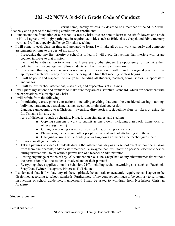## **2021-22 NCVA 3rd-5th Grade Code of Conduct**

|                                                              | , (print name) hereby express my desire to be a member of the NCA Virtual |  |
|--------------------------------------------------------------|---------------------------------------------------------------------------|--|
| Academy and agree to the following conditions of enrollment: |                                                                           |  |

- I understand the foundation of our school is Jesus Christ. We are here to learn to be His followers and abide in Him. I agree to willingly participate in required activities such as Bible class, chapel, and Bible memory work, and will not openly challenge Christian teaching.
- I will come to each class on time and prepared to learn. I will take all of my work seriously and complete assignments on time to the best of my ability.
	- I recognize that my first priority at school is to learn. I will avoid distractions that interfere with or are counter-intuitive to that mission.
	- I will not be a distraction to others. I will give every other student the opportunity to maximize their potential. I will encourage my fellow students and I will never tear them down.
	- I recognize that regular attendance is necessary for my success. I will be in the assigned place with the appropriate materials, ready to work at the designated time that meeting or class begins.
	- I will be polite and respectful to everyone, including all students, teachers, administrators, support staff, and visitors.
	- I will follow teacher instructions, class rules, and expectations at all times.
- I will guard my actions and attitudes to make sure they are of a scriptural standard, which are consistent with the expectations of a disciple of Christ.
- I will refrain from the following:
	- Intimidating words, phrases, or actions including anything that could be considered teasing, taunting, bullying, harassment, ostracism, hazing, swearing, or physical aggression
	- Language unbecoming to a Christian swearing, dirty stories, racial/ethnic slurs or jokes, or using the Lord's name in vain, etc.
	- Acts of dishonesty, such as cheating, lying, forging signatures, and stealing
		- Copying someone's work to submit as one's own (including classwork, homework, or other assignments)
		- Giving or receiving answers or stealing tests, or using a cheat sheet
		- Plagiarizing, i.e., copying other people's material and not attributing it to them
		- Changing answers while grading or writing down answers as the teacher gives them
	- Immoral or illegal activities
	- Taking pictures or video of students during the instructional day or at a school event without permission from them, their parents, and/or a staff member. I also agree that I will not use a personal electronic device during instructional hours without permission of a teacher or administrator.
	- Posting any image or video of any NCA student on YouTube, SnapChat, or any other internet site without the permission of all the students involved and of their parents!
	- Everything above applies to online behavior, 24/7, including social networking sites such as: Facebook, SnapChat, Twitter, Instagram, Pinterest, TikTok, etc. …
- I understand that if I violate any of these spiritual, behavioral, or academic requirements, I agree to be disciplined according to school standards. Furthermore, if my conduct continues to be contrary to scriptural instructions or school guidelines, I understand I may be asked to withdraw from Northshore Christian Academy.

Student Signature Date

37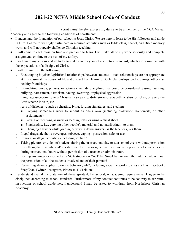## **2021-22 NCVA Middle School Code of Conduct**

|                                                              | , (print name) hereby express my desire to be a member of the NCA Virtual |  |
|--------------------------------------------------------------|---------------------------------------------------------------------------|--|
| Academy and agree to the following conditions of enrollment: |                                                                           |  |

- I understand the foundation of our school is Jesus Christ. We are here to learn to be His followers and abide in Him. I agree to willingly participate in required activities such as Bible class, chapel, and Bible memory work, and will not openly challenge Christian teaching.
- I will come to each class on time and prepared to learn. I will take all of my work seriously and complete assignments on time to the best of my ability.
- I will guard my actions and attitudes to make sure they are of a scriptural standard, which are consistent with the expectations of a disciple of Christ.
- I will refrain from the following:
	- Encouraging boyfriend/girlfriend relationships between students -- such relationships are not appropriate at this season at this season of life and distract from learning. Such relationships tend to damage otherwise healthy friendships.
	- Intimidating words, phrases, or actions including anything that could be considered teasing, taunting, bullying, harassment, ostracism, hazing, swearing, or physical aggression
	- Language unbecoming to a Christian swearing, dirty stories, racial/ethnic slurs or jokes, or using the Lord's name in vain, etc.
	- Acts of dishonesty, such as cheating, lying, forging signatures, and stealing
		- Copying someone's work to submit as one's own (including classwork, homework, or other assignments)
		- Giving or receiving answers or stealing tests, or using a cheat sheet
		- Plagiarizing, i.e., copying other people's material and not attributing it to them
		- Changing answers while grading or writing down answers as the teacher gives them
	- Illegal drugs, alcoholic beverages, tobacco, vaping possession, sale, or use
	- Immoral or illegal activities including sexting\*
	- Taking pictures or video of students during the instructional day or at a school event without permission from them, their parents, and/or a staff member. I also agree that I will not use a personal electronic device during instructional hours without permission of a teacher or administrator.
	- Posting any image or video of any NCA student on YouTube, SnapChat, or any other internet site without the permission of all the students involved and of their parents!
	- Everything above applies to online behavior, 24/7, including social networking sites such as: Facebook, SnapChat, Twitter, Instagram, Pinterest, TikTok, etc. …
- I understand that if I violate any of these spiritual, behavioral, or academic requirements, I agree to be disciplined according to school standards. Furthermore, if my conduct continues to be contrary to scriptural instructions or school guidelines, I understand I may be asked to withdraw from Northshore Christian Academy.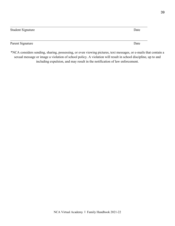| <b>Student Signature</b> | Date |
|--------------------------|------|
| Parent Signature         | Date |

\*NCA considers sending, sharing, possessing, or even viewing pictures, text messages, or e-mails that contain a sexual message or image a violation of school policy. A violation will result in school discipline, up to and including expulsion, and may result in the notification of law enforcement.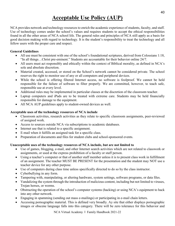## **Acceptable Use Policy (AUP)**

NCA provides network and technology resources to enrich the academic experience of students, faculty, and staff. Use of technology comes under the school's values and requires students to accept the ethical responsibilities found in all the other areas of NCA school life. The general rules and principles of NCA still apply as a basis for good decision making with regard to technology. It is the student's responsibility to treat the technology and all fellow users with the proper care and respect.

#### **General Guidelines**

- All use must be consistent with one of the school's foundational scriptures, derived from Colossians 1:18, "In all things…Christ pre-eminent." Students are accountable for their behavior online 24/7.
- All users must act responsibly and ethically within the context of Biblical morality, as defined in NCA's sole and absolute discretion.
- Material created, accessed, or stored on the School's network cannot be considered private. The school reserves the right to monitor use of any or all computers and peripheral devices.
- While the school is offering filtered Internet access, no software is foolproof. We cannot be held responsible for the failure of software to filter properly. We are committed, however, to teach safe, responsible use at every level.
- Additional rules may be implemented in particular classes at the discretion of the classroom teacher.
- Laptop computers and iPads are to be treated with extreme care. Students may be held financially responsible for damage to the equipment.
- All NCA AUP guidelines apply to student-owned devices as well.

#### **Acceptable uses of the technology resources of NCA include**

- Classroom activities, research activities as they relate to specific classroom assignments, peer-reviewed of assigned work.
- Access to sources outside NCA via subscriptions to academic databases.
- Internet use that is related to a specific assignment.
- E-mail when it fulfills an assigned task for a specific class.
- Preparation of documents and files for student clubs and school-sponsored events.

## **Unacceptable uses of the technology resources of NCA include, but are not limited to**

- Use of games, blogging, e-mail, and other Internet search activities which are not related to classwork or assignments, or used at the express prohibition of a faculty or staff person.
- Using a teacher's computer or that of another staff member unless it is to present class work in fulfillment of an assignment. The teacher MUST BE PRESENT for the presentation and the student may NOT use a teacher device for any other purpose.
- Use of computers during class time unless specifically directed to do so by the class instructor.
- Cyberbullying in any form.
- Tampering with, manipulating, or altering hardware, system settings, software programs, or data files.
- Vandalizing the system through the introduction of malicious content, including but not limited to viruses, Trojan horses, or worms.
- Obstructing the operation of the school's computer systems (hacking) or using NCA's equipment to hack into any other network.
- Engaging in spamming (sending out mass e-mailings) or participating in e-mail chain letters.
- Accessing pornographic material. This is defined very broadly. Ay site that either displays pornographic images or obscene language falls into this category. There will be zero tolerance for this behavior and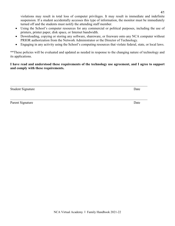violations may result in total loss of computer privileges. It may result in immediate and indefinite suspension. If a student accidentally accesses this type of information, the monitor must be immediately turned off and the students must notify the attending staff member.

- Using the School's computer resources for any commercial or political purposes, including the use of printers, printer paper, disk space, or Internet bandwidth.
- Downloading, copying or storing any software, shareware, or freeware onto any NCA computer without PRIOR authorization from the Network Administrator or the Director of Technology.
- Engaging in any activity using the School's computing resources that violate federal, state, or local laws.

\*\*These policies will be evaluated and updated as needed in response to the changing nature of technology and its applications.

**I have read and understood these requirements of the technology use agreement, and I agree to support and comply with these requirements.**

\_\_\_\_\_\_\_\_\_\_\_\_\_\_\_\_\_\_\_\_\_\_\_\_\_\_\_\_\_\_\_\_\_\_\_\_\_\_\_\_\_\_\_\_\_\_\_\_\_\_\_\_\_\_\_\_\_\_\_\_\_\_\_\_\_\_\_\_\_\_\_\_\_\_\_\_\_\_\_\_

\_\_\_\_\_\_\_\_\_\_\_\_\_\_\_\_\_\_\_\_\_\_\_\_\_\_\_\_\_\_\_\_\_\_\_\_\_\_\_\_\_\_\_\_\_\_\_\_\_\_\_\_\_\_\_\_\_\_\_\_\_\_\_\_\_\_\_\_\_\_\_\_\_\_\_\_\_\_\_\_

Student Signature Date

Parent Signature Date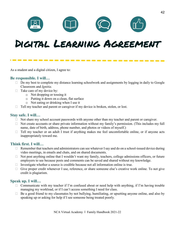



# DIGITAL LEARNING AGREEMENT

As a student and a digital citizen, I agree to:

#### **Be responsible. I will…**

- $\Box$  Do my best to complete my distance learning schoolwork and assignments by logging in daily to Google Classroom and *Ignitia*.
- $\Box$  Take care of my device by:
	- o Not dropping or tossing it
	- o Putting it down on a clean, flat surface
	- o Not eating or drinking when I use it
- $\Box$  Tell my teacher and parent or caregiver if my device is broken, stolen, or lost.

#### **Stay safe. I will…**

- $\Box$  Not share my school account passwords with anyone other than my teacher and parent or caregiver.
- $\Box$  Not create accounts or share private information without my family's permission. (This includes my full name, date of birth, address, phone number, and photos or videos of myself.)
- $\Box$  Tell my teacher or an adult I trust if anything makes me feel uncomfortable online, or if anyone acts inappropriately toward me.

#### **Think first. I will…**

- $\Box$  Remember that teachers and administrators can see whatever I say and do on a school-issued device during video meetings, in emails and chats, and on shared documents.
- $\Box$  Not post anything online that I wouldn't want my family, teachers, college admissions officers, or future employers to see because posts and comments can be saved and shared without my knowledge.
- Investigate whether a source is credible because not all information online is true.
- Give proper credit whenever I use, reference, or share someone else's creative work online. To not give credit is plagiarism.

#### **Speak up. I will…**

- $\Box$  Communicate with my teacher if I'm confused about or need help with anything, if I'm having trouble managing my workload, or if I can't access something I need for class.
- $\Box$  Be a good friend to my classmates by not bullying, humiliating, or upsetting anyone online, and also by speaking up or asking for help if I see someone being treated poorly.